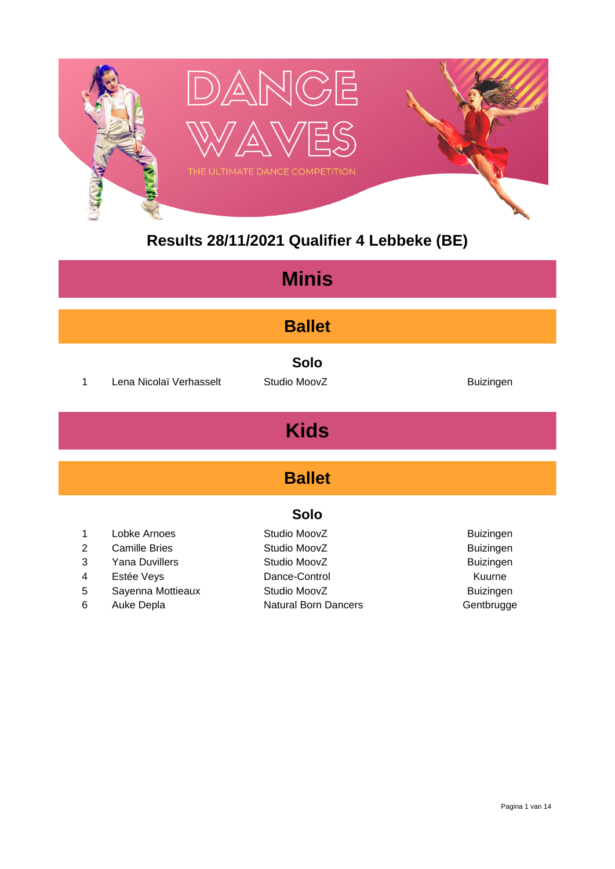

#### **Results 28/11/2021 Qualifier 4 Lebbeke (BE)**

| <b>Minis</b>   |                         |                             |                  |  |  |
|----------------|-------------------------|-----------------------------|------------------|--|--|
| <b>Ballet</b>  |                         |                             |                  |  |  |
| 1              | Lena Nicolaï Verhasselt | <b>Solo</b><br>Studio MoovZ | <b>Buizingen</b> |  |  |
| <b>Kids</b>    |                         |                             |                  |  |  |
| <b>Ballet</b>  |                         |                             |                  |  |  |
|                | <b>Solo</b>             |                             |                  |  |  |
| 1              | Lobke Arnoes            | Studio MoovZ                | Buizingen        |  |  |
| $\overline{2}$ | <b>Camille Bries</b>    | Studio MoovZ                | <b>Buizingen</b> |  |  |
| 3              | <b>Yana Duvillers</b>   | Studio MoovZ                | <b>Buizingen</b> |  |  |
| 4              | Estée Veys              | Dance-Control               | Kuurne           |  |  |
| 5              | Sayenna Mottieaux       | Studio MoovZ                | <b>Buizingen</b> |  |  |
| 6              | Auke Depla              | <b>Natural Born Dancers</b> | Gentbrugge       |  |  |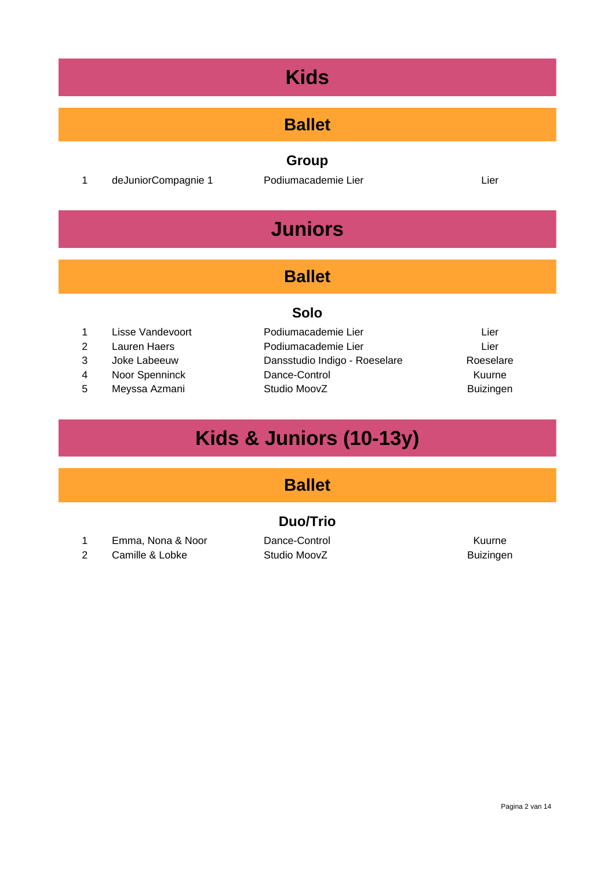#### **Ballet**

1 deJuniorCompagnie 1 Podiumacademie Lier Lier Lier

**Group**

## **Juniors**

#### **Ballet**

#### **Solo**

- 
- 
- 
- 
- 
- 1 Lisse Vandevoort Podiumacademie Lier Lier Lier Lier 2 Lauren Haers Podiumacademie Lier Lier 3 Joke Labeeuw Dansstudio Indigo - Roeselare Roeselare 4 Noor Spenninck Dance-Control 2008 Dance-Control 5 Meyssa Azmani Studio MoovZ Buizingen
	-

## **Kids & Juniors (10-13y)**

#### **Ballet**

#### **Duo/Trio**

- 1 Emma, Nona & Noor Dance-Control Control Kuurne
- 2 Camille & Lobke Studio MoovZ Buizingen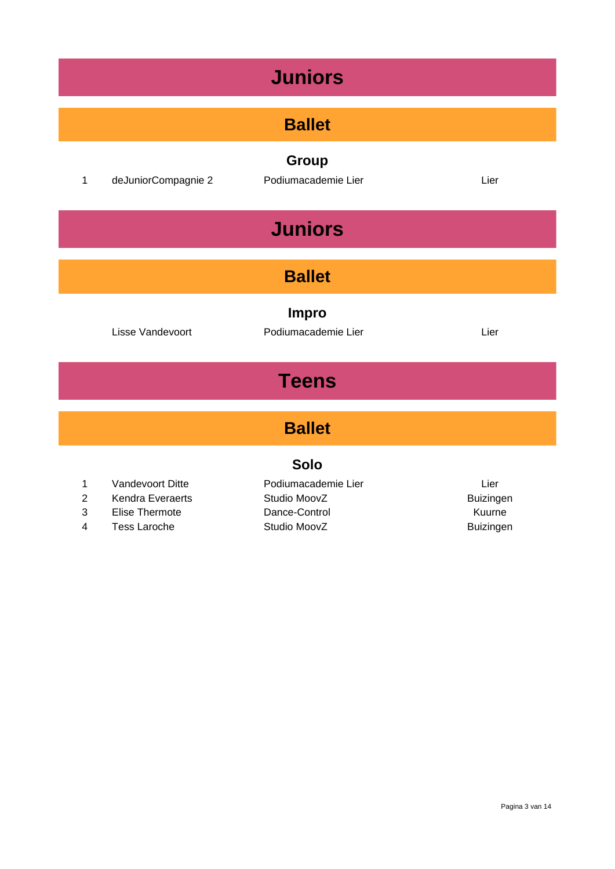| <b>Juniors</b>                |                                                                               |                                                                      |                                                 |  |  |
|-------------------------------|-------------------------------------------------------------------------------|----------------------------------------------------------------------|-------------------------------------------------|--|--|
|                               | <b>Ballet</b>                                                                 |                                                                      |                                                 |  |  |
| $\mathbf 1$                   | deJuniorCompagnie 2                                                           | Group<br>Podiumacademie Lier                                         | Lier                                            |  |  |
|                               |                                                                               | <b>Juniors</b>                                                       |                                                 |  |  |
|                               |                                                                               | <b>Ballet</b>                                                        |                                                 |  |  |
|                               | Lisse Vandevoort                                                              | <b>Impro</b><br>Podiumacademie Lier                                  | Lier                                            |  |  |
| <b>Teens</b>                  |                                                                               |                                                                      |                                                 |  |  |
| <b>Ballet</b>                 |                                                                               |                                                                      |                                                 |  |  |
| <b>Solo</b>                   |                                                                               |                                                                      |                                                 |  |  |
| 1<br>$\overline{c}$<br>3<br>4 | Vandevoort Ditte<br>Kendra Everaerts<br>Elise Thermote<br><b>Tess Laroche</b> | Podiumacademie Lier<br>Studio MoovZ<br>Dance-Control<br>Studio MoovZ | Lier<br>Buizingen<br>Kuurne<br><b>Buizingen</b> |  |  |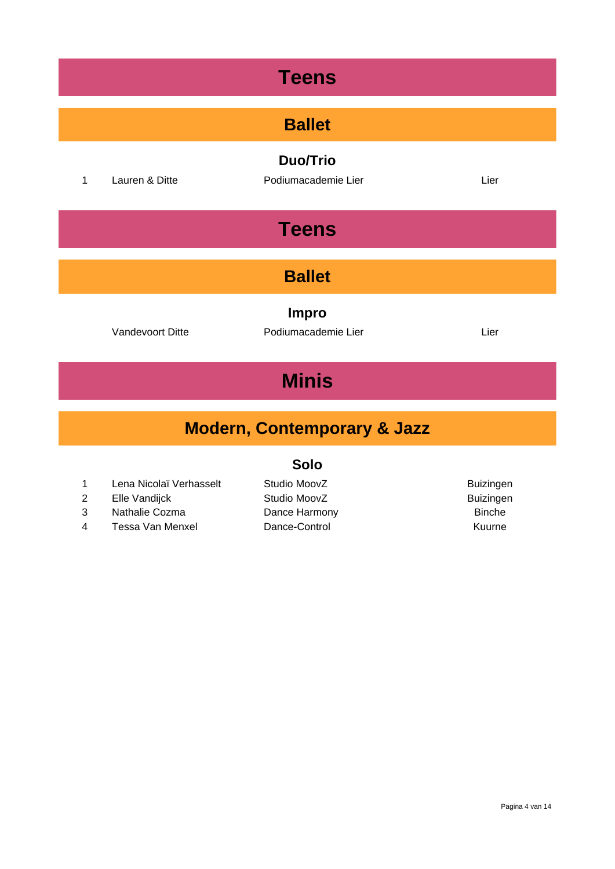| <b>Teens</b>                                                    |                |                                        |      |  |  |
|-----------------------------------------------------------------|----------------|----------------------------------------|------|--|--|
|                                                                 | <b>Ballet</b>  |                                        |      |  |  |
| $\mathbf{1}$                                                    | Lauren & Ditte | <b>Duo/Trio</b><br>Podiumacademie Lier | Lier |  |  |
|                                                                 | <b>Teens</b>   |                                        |      |  |  |
| <b>Ballet</b>                                                   |                |                                        |      |  |  |
| <b>Impro</b><br>Podiumacademie Lier<br>Vandevoort Ditte<br>Lier |                |                                        |      |  |  |
| <b>Minis</b>                                                    |                |                                        |      |  |  |
| <b>Modern, Contemporary &amp; Jazz</b>                          |                |                                        |      |  |  |

- 2 Elle Vandijck Studio MoovZ
- 3 Nathalie Cozma Dance Harmony Dance The Sinche
- 4 Tessa Van Menxel Dance-Control Kuurne
- 1 Lena Nicolaï Verhasselt Studio MoovZ Buizingen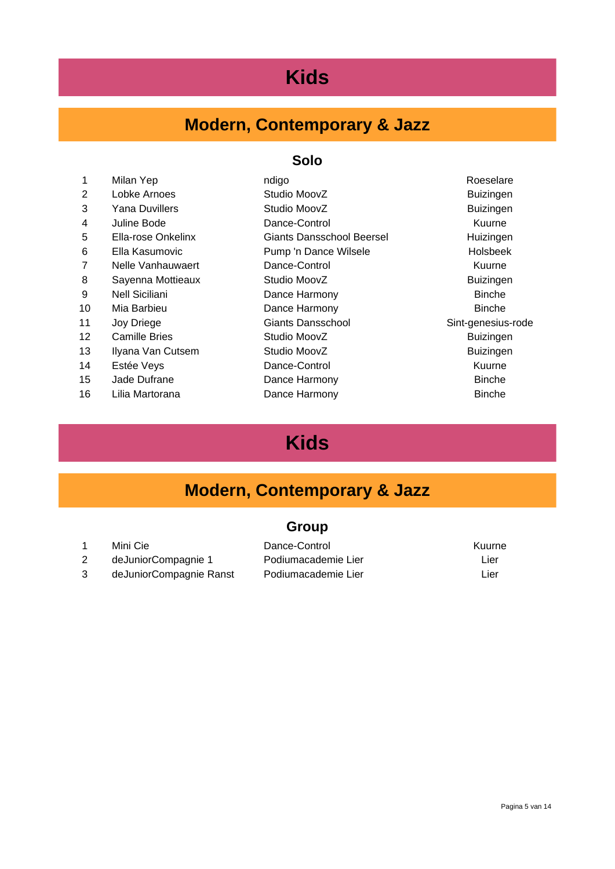#### **Modern, Contemporary & Jazz**

#### **Solo**

|                      | ndigo                     | Roeselare          |
|----------------------|---------------------------|--------------------|
| Lobke Arnoes         | Studio MoovZ              | <b>Buizingen</b>   |
| Yana Duvillers       | Studio MoovZ              | <b>Buizingen</b>   |
| Juline Bode          | Dance-Control             | Kuurne             |
| Ella-rose Onkelinx   | Giants Dansschool Beersel | Huizingen          |
| Ella Kasumovic       | Pump 'n Dance Wilsele     | <b>Holsbeek</b>    |
| Nelle Vanhauwaert    | Dance-Control             | Kuurne             |
| Sayenna Mottieaux    | Studio MoovZ              | <b>Buizingen</b>   |
| Nell Siciliani       | Dance Harmony             | <b>Binche</b>      |
| Mia Barbieu          | Dance Harmony             | <b>Binche</b>      |
| Joy Driege           | Giants Dansschool         | Sint-genesius-rode |
| <b>Camille Bries</b> | Studio MoovZ              | <b>Buizingen</b>   |
| Ilyana Van Cutsem    | Studio MoovZ              | <b>Buizingen</b>   |
| Estée Veys           | Dance-Control             | Kuurne             |
| Jade Dufrane         | Dance Harmony             | <b>Binche</b>      |
| Lilia Martorana      | Dance Harmony             | <b>Binche</b>      |
|                      | Milan Yep                 |                    |

#### **Kids**

#### **Modern, Contemporary & Jazz**

#### **Group**

1 Mini Cie **Dance-Control** Dence-Control Kuurne 2 deJuniorCompagnie 1 Podiumacademie Lier Lier Lier deJuniorCompagnie Ranst Podiumacademie Lier Lier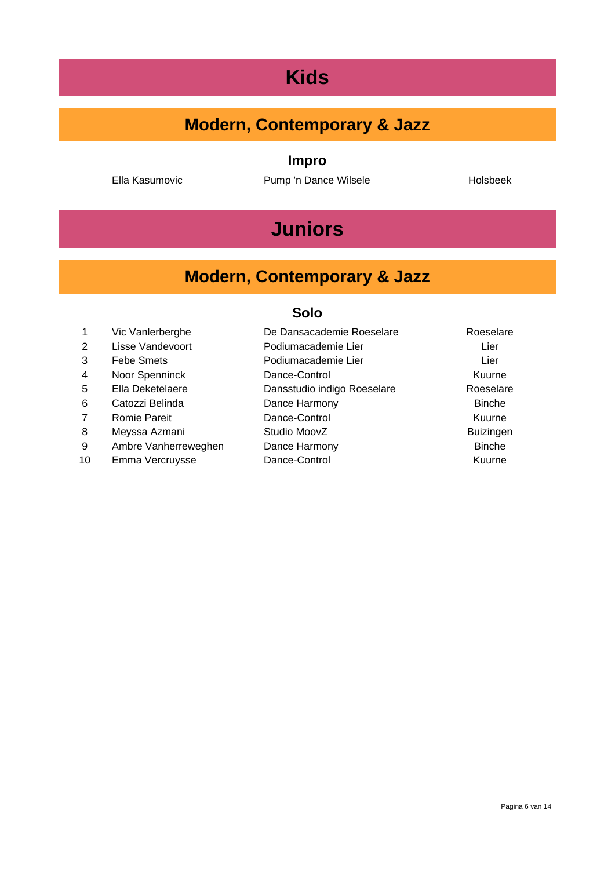#### **Modern, Contemporary & Jazz**

**Impro**

Ella Kasumovic **Pump 'n Dance Wilsele** Holsbeek

## **Juniors**

#### **Modern, Contemporary & Jazz**

|    | Vic Vanlerberghe     | De Dansacademie Roeselare   | Roeselare        |
|----|----------------------|-----------------------------|------------------|
| 2  | Lisse Vandevoort     | Podiumacademie Lier         | Lier             |
| 3  | <b>Febe Smets</b>    | Podiumacademie Lier         | Lier             |
| 4  | Noor Spenninck       | Dance-Control               | Kuurne           |
| 5  | Ella Deketelaere     | Dansstudio indigo Roeselare | Roeselare        |
| 6  | Catozzi Belinda      | Dance Harmony               | <b>Binche</b>    |
|    | <b>Romie Pareit</b>  | Dance-Control               | Kuurne           |
| 8  | Meyssa Azmani        | Studio MoovZ                | <b>Buizingen</b> |
| 9  | Ambre Vanherreweghen | Dance Harmony               | <b>Binche</b>    |
| 10 | Emma Vercruysse      | Dance-Control               | Kuurne           |
|    |                      |                             |                  |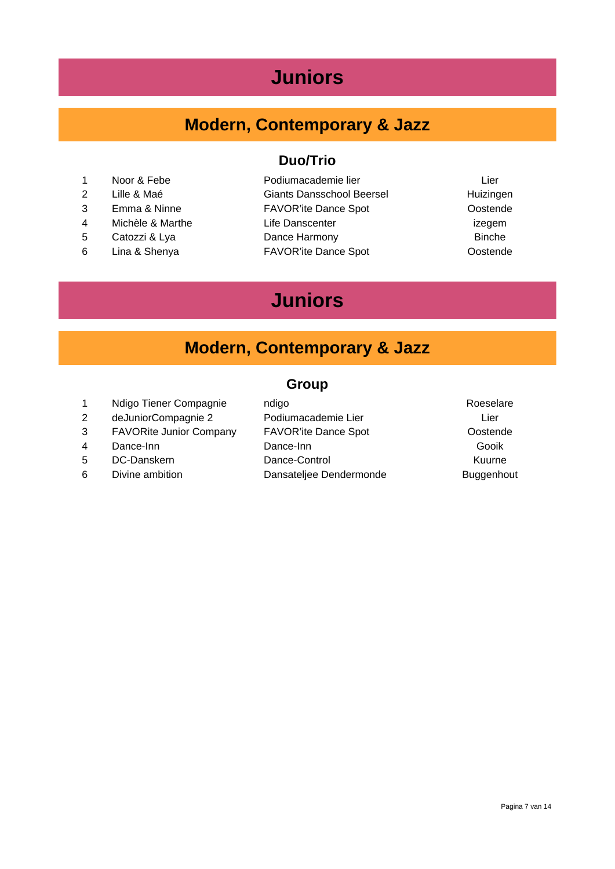#### **Juniors**

#### **Modern, Contemporary & Jazz**

- 1 Noor & Febe **Podiumacademie lier** Lier
- 
- 
- 
- 
- 

#### **Duo/Trio**

- 2 Lille & Maé Giants Dansschool Beersel Huizingen 3 Emma & Ninne FAVOR'ite Dance Spot Oostende 4 Michèle & Marthe **Life Danscenter** in the United States of the Life Danscenter is a state of the United States 5 Catozzi & Lya **Dance Harmony Binche**
- 6 Lina & Shenya FAVOR'ite Dance Spot Oostende
- 

#### **Juniors**

#### **Modern, Contemporary & Jazz**

#### **Group**

1 Ndigo Tiener Compagnie ndigo Roeselare 2 deJuniorCompagnie 2 Podiumacademie Lier Lier Lier 3 FAVORite Junior Company FAVOR'ite Dance Spot **CONSTANGER** Oostende 4 Dance-Inn Dance-Inn Gooik 5 DC-Danskern Dance-Control Kuurne 6 Divine ambition **Dansateljee Dendermonde** Buggenhout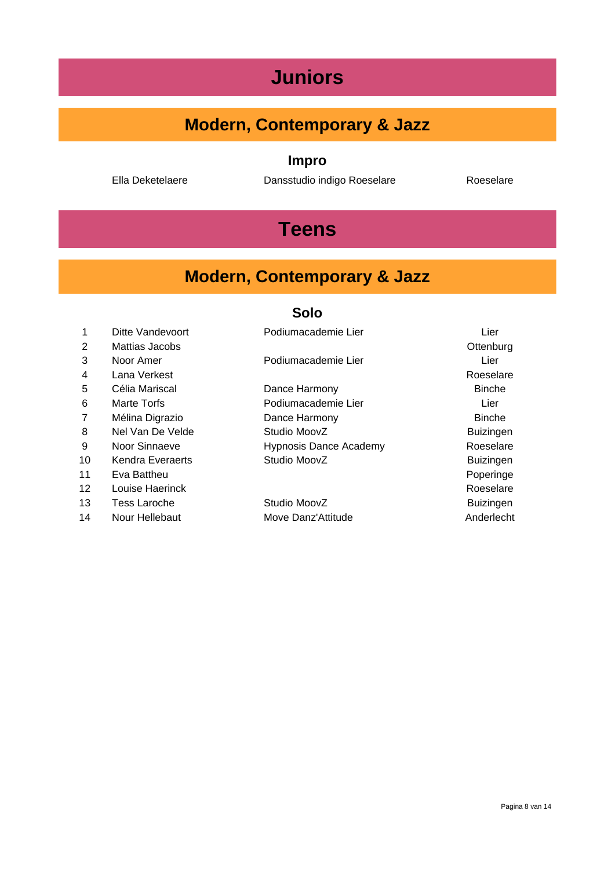## **Juniors**

#### **Modern, Contemporary & Jazz**

#### **Impro**

Ella Deketelaere Dansstudio indigo Roeselare Roeselare

## **Teens**

#### **Modern, Contemporary & Jazz**

| 1              | Ditte Vandevoort | Podiumacademie Lier           | Lier             |
|----------------|------------------|-------------------------------|------------------|
| $\overline{2}$ | Mattias Jacobs   |                               | Ottenburg        |
| 3              | Noor Amer        | Podiumacademie Lier           | Lier             |
| 4              | Lana Verkest     |                               | Roeselare        |
| 5              | Célia Mariscal   | Dance Harmony                 | <b>Binche</b>    |
| 6              | Marte Torfs      | Podiumacademie Lier           | Lier             |
| $\overline{7}$ | Mélina Digrazio  | Dance Harmony                 | <b>Binche</b>    |
| 8              | Nel Van De Velde | Studio MoovZ                  | <b>Buizingen</b> |
| 9              | Noor Sinnaeve    | <b>Hypnosis Dance Academy</b> | Roeselare        |
| 10             | Kendra Everaerts | Studio MoovZ                  | <b>Buizingen</b> |
| 11             | Eva Battheu      |                               | Poperinge        |
| 12             | Louise Haerinck  |                               | Roeselare        |
| 13             | Tess Laroche     | Studio MoovZ                  | <b>Buizingen</b> |
| 14             | Nour Hellebaut   | Move Danz'Attitude            | Anderlecht       |
|                |                  |                               |                  |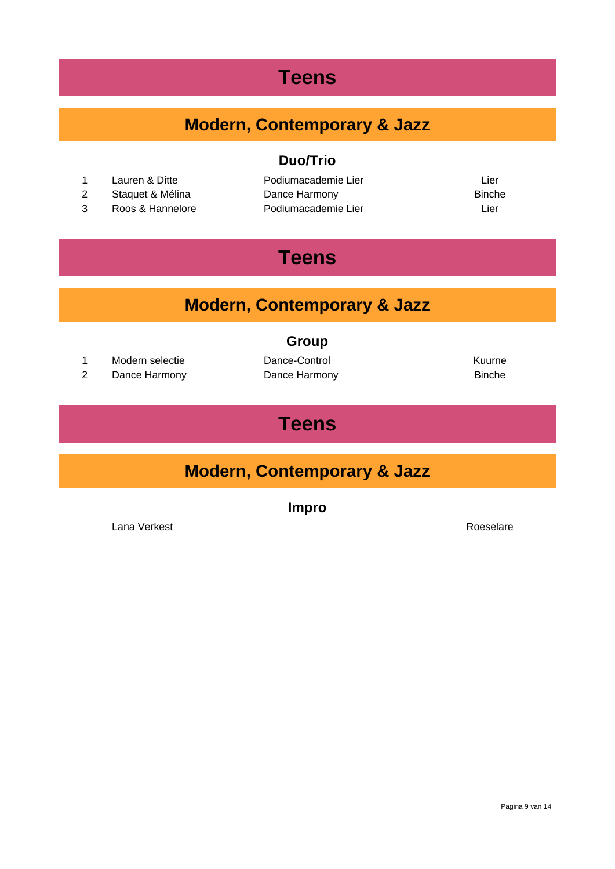#### **Teens**

#### **Modern, Contemporary & Jazz**

- 1 Lauren & Ditte **Communist Contract Podiumacademie Lier** Lier Lier Lier
- 
- 3 Roos & Hannelore Podiumacademie Lier Lier

#### **Duo/Trio**

2 Staquet & Mélina **Dance Harmony Binche** Binche

## **Teens**

#### **Modern, Contemporary & Jazz**

#### **Group**

- 1 Modern selectie **Dance-Control** Dence-Control Nuurne
- 2 Dance Harmony Dance Harmony Binche

## **Teens**

#### **Modern, Contemporary & Jazz**

**Impro**

Lana Verkest Roeselare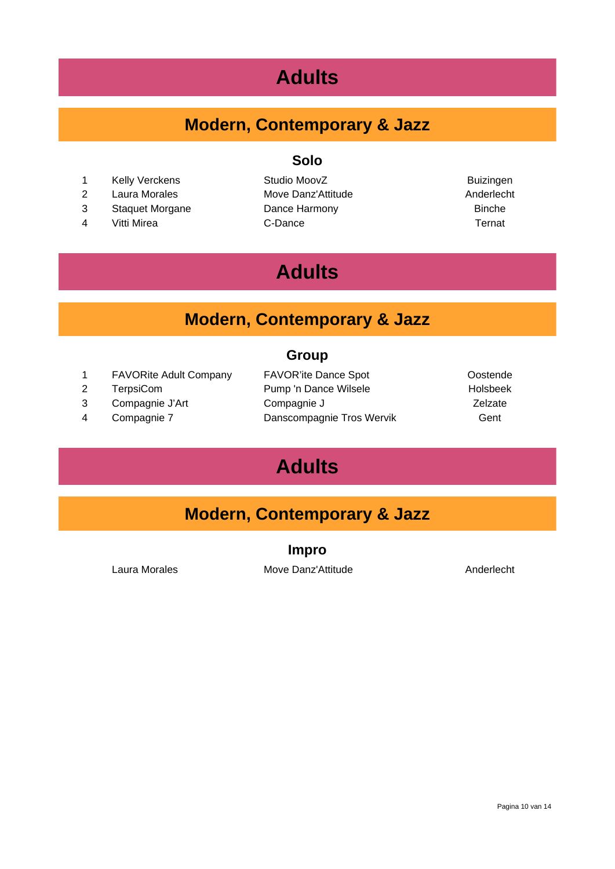## **Adults**

#### **Modern, Contemporary & Jazz**

#### **Solo**

- 1 Kelly Verckens Studio MoovZ Buizingen
- 
- 
- 

2 Laura Morales Move Danz'Attitude Anderlecht 3 Staquet Morgane Dance Harmony Dance The Dance Harmony 4 Vitti Mirea C-Dance Ternat

## **Adults**

#### **Modern, Contemporary & Jazz**

#### **Group**

1 FAVORite Adult Company FAVOR'ite Dance Spot Costende 2 TerpsiCom Pump 'n Dance Wilsele Holsbeek 3 Compagnie J'Art Compagnie J Zelzate 4 Compagnie 7 Danscompagnie Tros Wervik Gent

## **Adults**

#### **Modern, Contemporary & Jazz**

**Impro**

Laura Morales **Move Danz'Attitude** Anderlecht

Pagina 10 van 14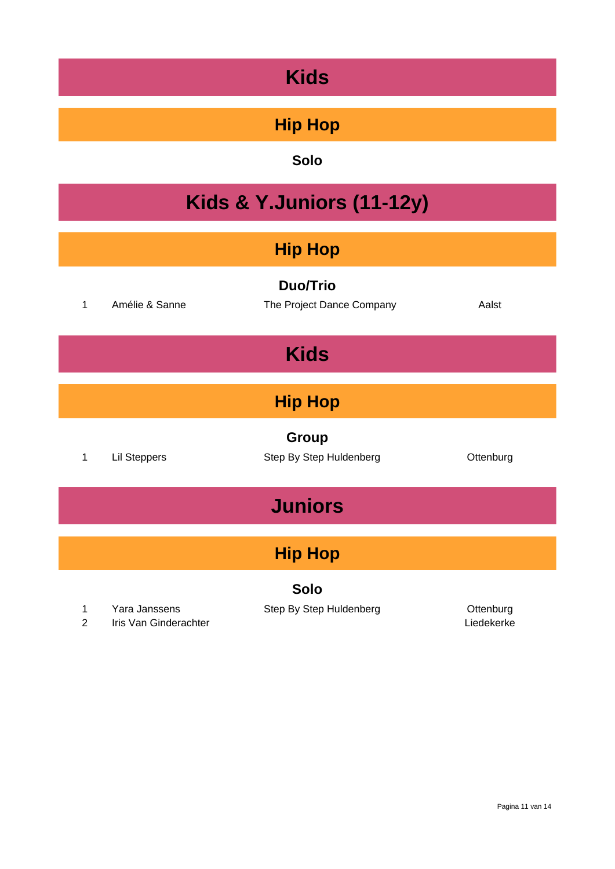## **Hip Hop**

| <b>Kids &amp; Y.Juniors (11-12y)</b> |                                        |                                              |                         |  |
|--------------------------------------|----------------------------------------|----------------------------------------------|-------------------------|--|
| <b>Hip Hop</b>                       |                                        |                                              |                         |  |
| 1                                    | Amélie & Sanne                         | <b>Duo/Trio</b><br>The Project Dance Company | Aalst                   |  |
|                                      |                                        | <b>Kids</b>                                  |                         |  |
| <b>Hip Hop</b>                       |                                        |                                              |                         |  |
| 1                                    | <b>Lil Steppers</b>                    | Group<br>Step By Step Huldenberg             | Ottenburg               |  |
| <b>Juniors</b>                       |                                        |                                              |                         |  |
| <b>Hip Hop</b>                       |                                        |                                              |                         |  |
| Solo                                 |                                        |                                              |                         |  |
| 1<br>$\overline{2}$                  | Yara Janssens<br>Iris Van Ginderachter | Step By Step Huldenberg                      | Ottenburg<br>Liedekerke |  |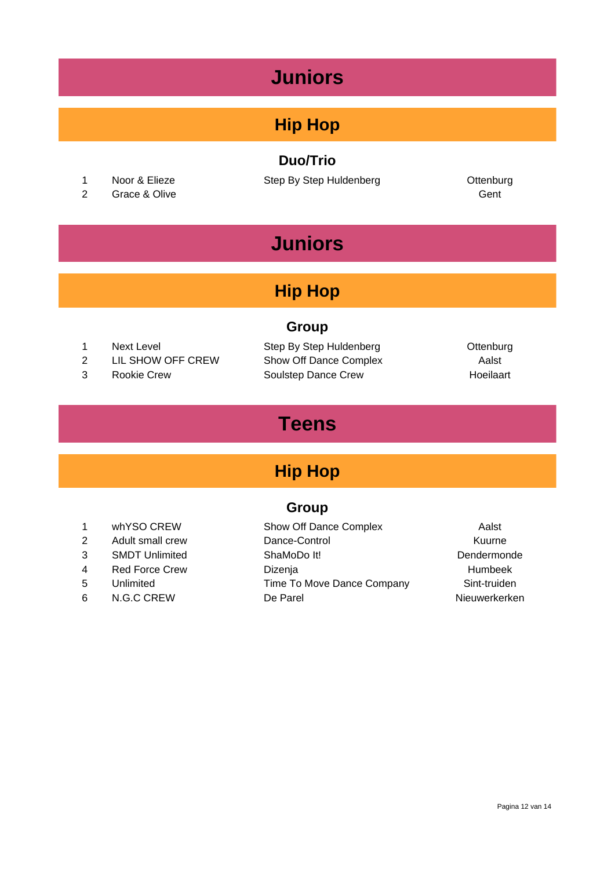## **Juniors**

#### **Hip Hop**

#### **Duo/Trio**

- 
- 2 Grace & Olive Gent

1 Noor & Elieze Step By Step Huldenberg Cttenburg

## **Juniors**

#### **Hip Hop**

#### **Group**

- 
- 2 LIL SHOW OFF CREW Show Off Dance Complex Aalst
- 

1 Next Level Step By Step Huldenberg Cttenburg 3 Rookie Crew Soulstep Dance Crew Hoeilaart

## **Teens**

#### **Hip Hop**

#### **Group**

- 
- -
- 1 whYSO CREW Show Off Dance Complex Aalst 2 Adult small crew Dance-Control Control Adult Small crew Dance-Control 3 SMDT Unlimited ShaMoDo It! Dendermonde 4 Red Force Crew Dizenja Blumbeek 5 Unlimited Time To Move Dance Company Sint-truiden 6 N.G.C CREW De Parel Nieuwerkerken
	-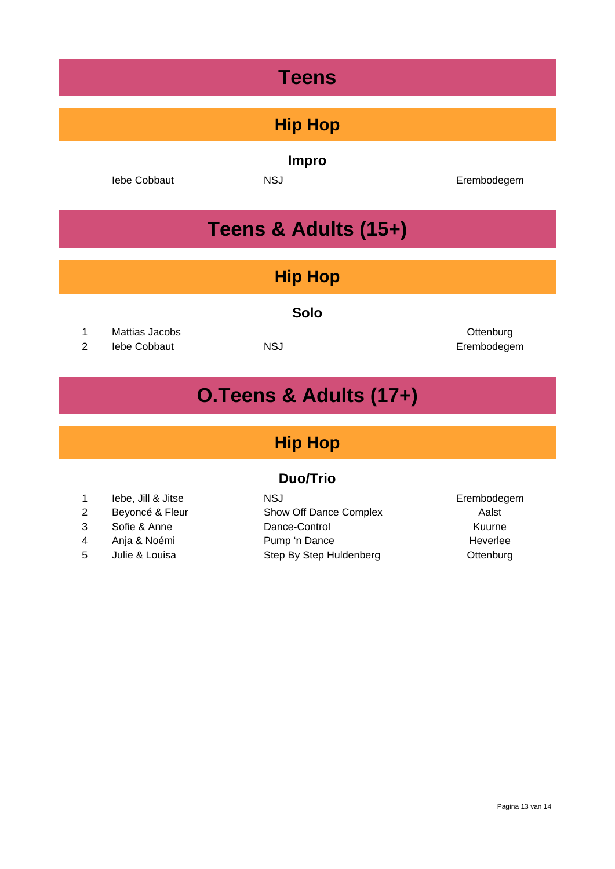## **Teens**

#### **Hip Hop**

**Impro**

Iebe Cobbaut **NSJ** NSJ **Erembodegem** 

## **Teens & Adults (15+)**

#### **Hip Hop**

#### **Solo**

1 Mattias Jacobs Ottenburg

2 Iebe Cobbaut NSJ Erembodegem

## **O.Teens & Adults (17+)**

#### **Hip Hop**

#### **Duo/Trio**

|                | lebe, Jill & Jitse | NSJ.                    | Erembodegem |
|----------------|--------------------|-------------------------|-------------|
| 2              | Beyoncé & Fleur    | Show Off Dance Complex  | Aalst       |
| 3              | Sofie & Anne       | Dance-Control           | Kuurne      |
| $\overline{4}$ | Anja & Noémi       | Pump 'n Dance           | Heverlee    |
| 5              | Julie & Louisa     | Step By Step Huldenberg | Ottenburg   |